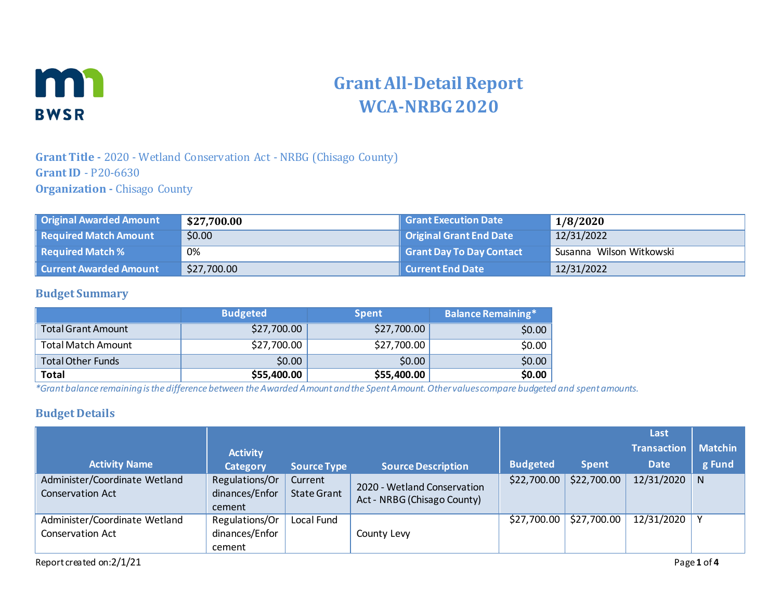

# **Grant All-Detail Report WCA-NRBG 2020**

## **Grant Title -** 2020 - Wetland Conservation Act - NRBG (Chisago County) **Grant ID** - P20-6630 **Organization -** Chisago County

| Original Awarded Amount         | \$27,700.00 | <b>Grant Execution Date</b> | 1/8/2020                 |
|---------------------------------|-------------|-----------------------------|--------------------------|
| Required Match Amount           | \$0.00      | Original Grant End Date     | 12/31/2022               |
| $\parallel$ Required Match $\%$ | 0%          | Grant Day To Day Contact    | Susanna Wilson Witkowski |
| Current Awarded Amount          | \$27,700.00 | Current End Date            | 12/31/2022               |

#### **Budget Summary**

|                           | <b>Budgeted</b> | <b>Spent</b> | <b>Balance Remaining*</b> |
|---------------------------|-----------------|--------------|---------------------------|
| <b>Total Grant Amount</b> | \$27,700.00     | \$27,700.00  | \$0.00                    |
| <b>Total Match Amount</b> | \$27,700.00     | \$27,700.00  | \$0.00                    |
| <b>Total Other Funds</b>  | \$0.00          | \$0.00       | \$0.00                    |
| <b>Total</b>              | \$55,400.00     | \$55,400.00  | \$0.00                    |

*\*Grant balance remaining is the difference between the Awarded Amount and the Spent Amount. Other values compare budgeted and spent amounts.*

#### **Budget Details**

|                                                   |                                            |                               |                                                            |                 |              | Last               |                |
|---------------------------------------------------|--------------------------------------------|-------------------------------|------------------------------------------------------------|-----------------|--------------|--------------------|----------------|
|                                                   | <b>Activity</b>                            |                               |                                                            |                 |              | <b>Transaction</b> | <b>Matchin</b> |
| <b>Activity Name</b>                              | <b>Category</b>                            | <b>Source Type</b>            | <b>Source Description</b>                                  | <b>Budgeted</b> | <b>Spent</b> | <b>Date</b>        | g Fund         |
| Administer/Coordinate Wetland<br>Conservation Act | Regulations/Or<br>dinances/Enfor<br>cement | Current<br><b>State Grant</b> | 2020 - Wetland Conservation<br>Act - NRBG (Chisago County) | \$22,700.00     | \$22,700.00  | 12/31/2020         | N              |
| Administer/Coordinate Wetland<br>Conservation Act | Regulations/Or<br>dinances/Enfor<br>cement | Local Fund                    | County Levy                                                | \$27,700.00     | \$27,700.00  | 12/31/2020         |                |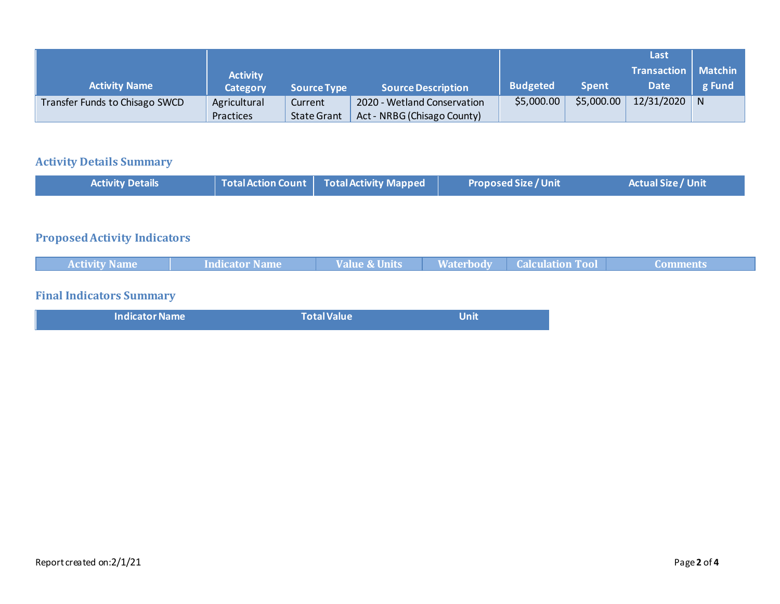|                                |                 |                    |                             |                 |              | Last               |                |
|--------------------------------|-----------------|--------------------|-----------------------------|-----------------|--------------|--------------------|----------------|
|                                | <b>Activity</b> |                    |                             |                 |              | <b>Transaction</b> | <b>Matchin</b> |
| <b>Activity Name</b>           | Category        | <b>Source Type</b> | <b>Source Description</b>   | <b>Budgeted</b> | <b>Spent</b> | <b>Date</b>        | g Fund         |
| Transfer Funds to Chisago SWCD | Agricultural    | Current            | 2020 - Wetland Conservation | \$5,000.00      | \$5,000.00   | $12/31/2020$ N     |                |
|                                | Practices       | <b>State Grant</b> | Act - NRBG (Chisago County) |                 |              |                    |                |

# **Activity Details Summary**

| <b>Activity Details</b> | Total Action Count   Total Activity Mapped | <b>Proposed Size / Unit</b> | <b>Actual Size / Unit</b> |
|-------------------------|--------------------------------------------|-----------------------------|---------------------------|
|                         |                                            |                             |                           |
| .<br>$\sim$             |                                            |                             |                           |

#### **Proposed Activity Indicators**

| <b>Activity Name</b> | Indicator Name | Value & Units | <b>Waterbody   Calculation Tool</b> | Comments |
|----------------------|----------------|---------------|-------------------------------------|----------|
|                      |                |               |                                     |          |

# **Final Indicators Summary**

| <b>Indicator Name</b> | <b>Total Value</b> | <b>Unit</b> |
|-----------------------|--------------------|-------------|
|                       |                    |             |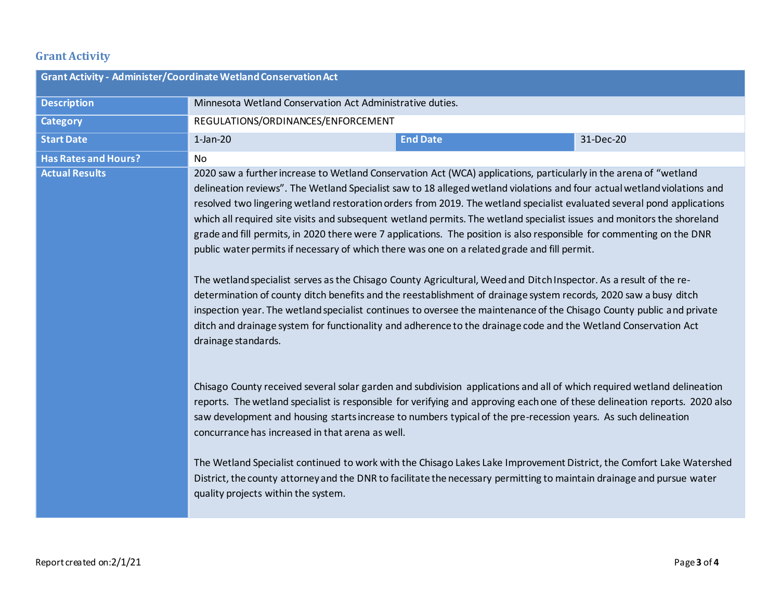# **Grant Activity**

|                             | Grant Activity - Administer/Coordinate Wetland Conservation Act                                                                                                                                                                                                                                                                                                                                                                                                                                                                                                                                                                                                                                                                                                                                                                                                                                                                                                                                                                                                                                                                                                                                                                           |                 |           |  |
|-----------------------------|-------------------------------------------------------------------------------------------------------------------------------------------------------------------------------------------------------------------------------------------------------------------------------------------------------------------------------------------------------------------------------------------------------------------------------------------------------------------------------------------------------------------------------------------------------------------------------------------------------------------------------------------------------------------------------------------------------------------------------------------------------------------------------------------------------------------------------------------------------------------------------------------------------------------------------------------------------------------------------------------------------------------------------------------------------------------------------------------------------------------------------------------------------------------------------------------------------------------------------------------|-----------------|-----------|--|
| <b>Description</b>          | Minnesota Wetland Conservation Act Administrative duties.                                                                                                                                                                                                                                                                                                                                                                                                                                                                                                                                                                                                                                                                                                                                                                                                                                                                                                                                                                                                                                                                                                                                                                                 |                 |           |  |
| <b>Category</b>             | REGULATIONS/ORDINANCES/ENFORCEMENT                                                                                                                                                                                                                                                                                                                                                                                                                                                                                                                                                                                                                                                                                                                                                                                                                                                                                                                                                                                                                                                                                                                                                                                                        |                 |           |  |
| <b>Start Date</b>           | $1$ -Jan-20                                                                                                                                                                                                                                                                                                                                                                                                                                                                                                                                                                                                                                                                                                                                                                                                                                                                                                                                                                                                                                                                                                                                                                                                                               | <b>End Date</b> | 31-Dec-20 |  |
| <b>Has Rates and Hours?</b> | No                                                                                                                                                                                                                                                                                                                                                                                                                                                                                                                                                                                                                                                                                                                                                                                                                                                                                                                                                                                                                                                                                                                                                                                                                                        |                 |           |  |
| <b>Actual Results</b>       | 2020 saw a further increase to Wetland Conservation Act (WCA) applications, particularly in the arena of "wetland<br>delineation reviews". The Wetland Specialist saw to 18 alleged wetland violations and four actual wetland violations and<br>resolved two lingering wetland restoration orders from 2019. The wetland specialist evaluated several pond applications<br>which all required site visits and subsequent wetland permits. The wetland specialist issues and monitors the shoreland<br>grade and fill permits, in 2020 there were 7 applications. The position is also responsible for commenting on the DNR<br>public water permits if necessary of which there was one on a related grade and fill permit.<br>The wetland specialist serves as the Chisago County Agricultural, Weed and Ditch Inspector. As a result of the re-<br>determination of county ditch benefits and the reestablishment of drainage system records, 2020 saw a busy ditch<br>inspection year. The wetland specialist continues to oversee the maintenance of the Chisago County public and private<br>ditch and drainage system for functionality and adherence to the drainage code and the Wetland Conservation Act<br>drainage standards. |                 |           |  |
|                             | Chisago County received several solar garden and subdivision applications and all of which required wetland delineation<br>reports. The wetland specialist is responsible for verifying and approving each one of these delineation reports. 2020 also<br>saw development and housing starts increase to numbers typical of the pre-recession years. As such delineation<br>concurrance has increased in that arena as well.<br>The Wetland Specialist continued to work with the Chisago Lakes Lake Improvement District, the Comfort Lake Watershed<br>District, the county attorney and the DNR to facilitate the necessary permitting to maintain drainage and pursue water<br>quality projects within the system.                                                                                                                                                                                                                                                                                                                                                                                                                                                                                                                    |                 |           |  |